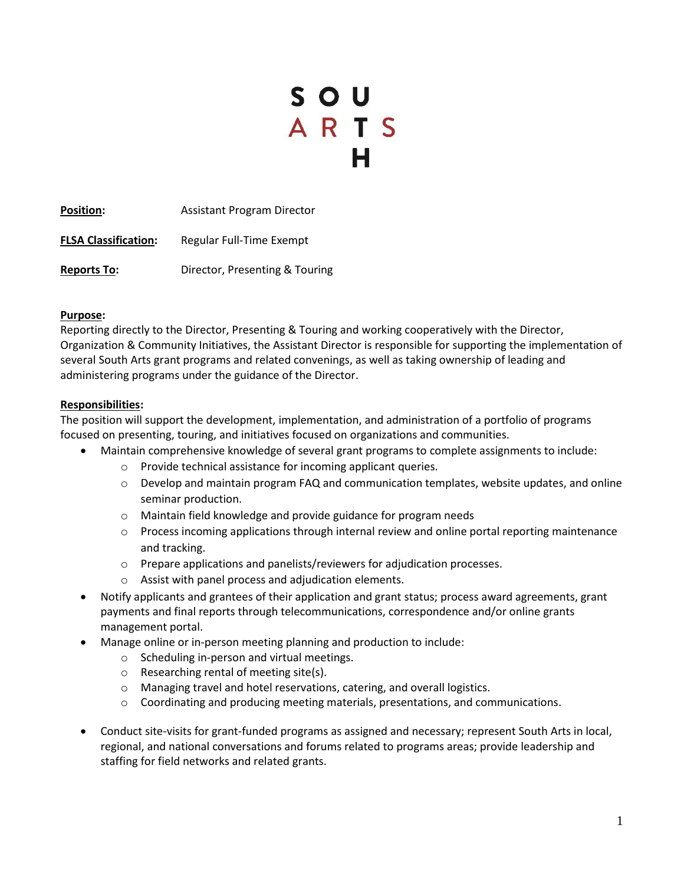# SOU<br>ARTS

**Position:** Assistant Program Director **FLSA Classification:** Regular Full-Time Exempt **Reports To:** Director, Presenting & Touring

#### **Purpose:**

Reporting directly to the Director, Presenting & Touring and working cooperatively with the Director, Organization & Community Initiatives, the Assistant Director is responsible for supporting the implementation of several South Arts grant programs and related convenings, as well as taking ownership of leading and administering programs under the guidance of the Director.

#### **Responsibilities:**

The position will support the development, implementation, and administration of a portfolio of programs focused on presenting, touring, and initiatives focused on organizations and communities.

- Maintain comprehensive knowledge of several grant programs to complete assignments to include:
	- o Provide technical assistance for incoming applicant queries.
	- $\circ$  Develop and maintain program FAQ and communication templates, website updates, and online seminar production.
	- o Maintain field knowledge and provide guidance for program needs
	- o Process incoming applications through internal review and online portal reporting maintenance and tracking.
	- o Prepare applications and panelists/reviewers for adjudication processes.
	- o Assist with panel process and adjudication elements.
- Notify applicants and grantees of their application and grant status; process award agreements, grant payments and final reports through telecommunications, correspondence and/or online grants management portal.
- Manage online or in-person meeting planning and production to include:
	- o Scheduling in-person and virtual meetings.
	- o Researching rental of meeting site(s).
	- o Managing travel and hotel reservations, catering, and overall logistics.
	- $\circ$  Coordinating and producing meeting materials, presentations, and communications.
- Conduct site-visits for grant-funded programs as assigned and necessary; represent South Arts in local, regional, and national conversations and forums related to programs areas; provide leadership and staffing for field networks and related grants.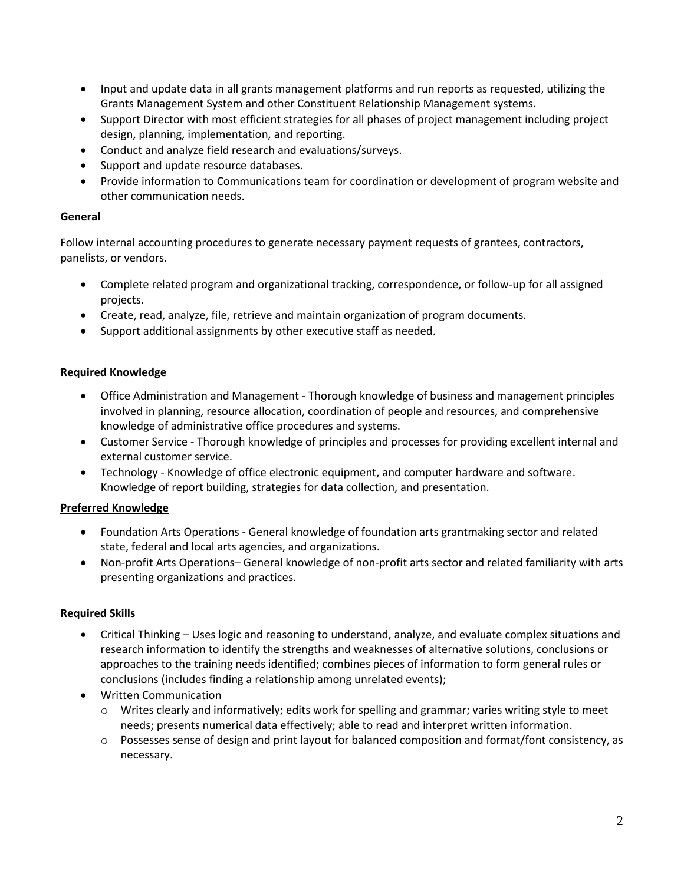- Input and update data in all grants management platforms and run reports as requested, utilizing the Grants Management System and other Constituent Relationship Management systems.
- Support Director with most efficient strategies for all phases of project management including project design, planning, implementation, and reporting.
- Conduct and analyze field research and evaluations/surveys.
- Support and update resource databases.
- Provide information to Communications team for coordination or development of program website and other communication needs.

## **General**

Follow internal accounting procedures to generate necessary payment requests of grantees, contractors, panelists, or vendors.

- Complete related program and organizational tracking, correspondence, or follow-up for all assigned projects.
- Create, read, analyze, file, retrieve and maintain organization of program documents.
- Support additional assignments by other executive staff as needed.

# **Required Knowledge**

- Office Administration and Management Thorough knowledge of business and management principles involved in planning, resource allocation, coordination of people and resources, and comprehensive knowledge of administrative office procedures and systems.
- Customer Service Thorough knowledge of principles and processes for providing excellent internal and external customer service.
- Technology Knowledge of office electronic equipment, and computer hardware and software. Knowledge of report building, strategies for data collection, and presentation.

# **Preferred Knowledge**

- Foundation Arts Operations General knowledge of foundation arts grantmaking sector and related state, federal and local arts agencies, and organizations.
- Non-profit Arts Operations– General knowledge of non-profit arts sector and related familiarity with arts presenting organizations and practices.

# **Required Skills**

- Critical Thinking Uses logic and reasoning to understand, analyze, and evaluate complex situations and research information to identify the strengths and weaknesses of alternative solutions, conclusions or approaches to the training needs identified; combines pieces of information to form general rules or conclusions (includes finding a relationship among unrelated events);
- Written Communication
	- $\circ$  Writes clearly and informatively; edits work for spelling and grammar; varies writing style to meet needs; presents numerical data effectively; able to read and interpret written information.
	- $\circ$  Possesses sense of design and print layout for balanced composition and format/font consistency, as necessary.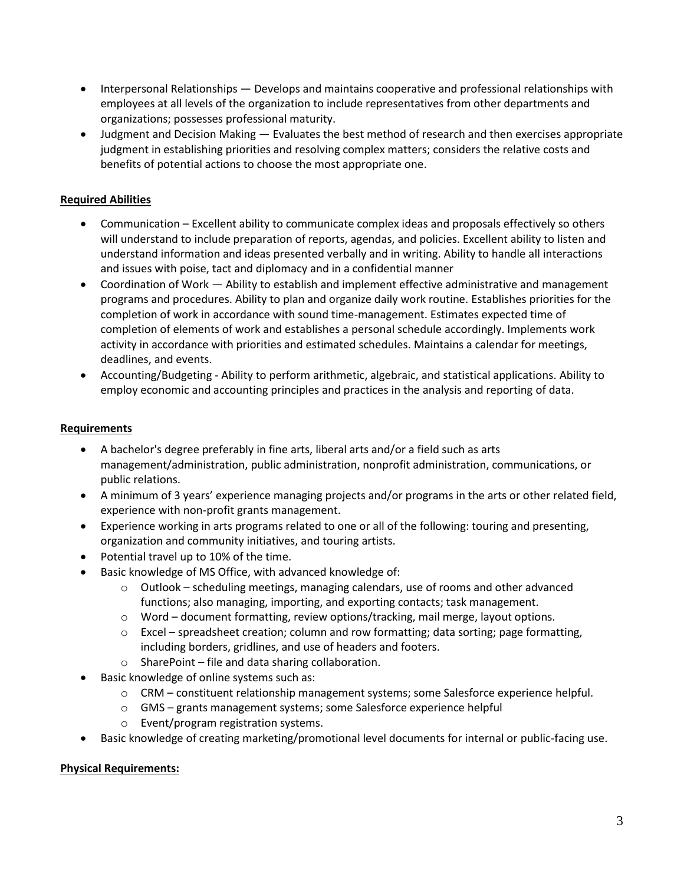- Interpersonal Relationships Develops and maintains cooperative and professional relationships with employees at all levels of the organization to include representatives from other departments and organizations; possesses professional maturity.
- Judgment and Decision Making Evaluates the best method of research and then exercises appropriate judgment in establishing priorities and resolving complex matters; considers the relative costs and benefits of potential actions to choose the most appropriate one.

# **Required Abilities**

- Communication Excellent ability to communicate complex ideas and proposals effectively so others will understand to include preparation of reports, agendas, and policies. Excellent ability to listen and understand information and ideas presented verbally and in writing. Ability to handle all interactions and issues with poise, tact and diplomacy and in a confidential manner
- Coordination of Work Ability to establish and implement effective administrative and management programs and procedures. Ability to plan and organize daily work routine. Establishes priorities for the completion of work in accordance with sound time-management. Estimates expected time of completion of elements of work and establishes a personal schedule accordingly. Implements work activity in accordance with priorities and estimated schedules. Maintains a calendar for meetings, deadlines, and events.
- Accounting/Budgeting Ability to perform arithmetic, algebraic, and statistical applications. Ability to employ economic and accounting principles and practices in the analysis and reporting of data.

## **Requirements**

- A bachelor's degree preferably in fine arts, liberal arts and/or a field such as arts management/administration, public administration, nonprofit administration, communications, or public relations.
- A minimum of 3 years' experience managing projects and/or programs in the arts or other related field, experience with non-profit grants management.
- Experience working in arts programs related to one or all of the following: touring and presenting, organization and community initiatives, and touring artists.
- Potential travel up to 10% of the time.
- Basic knowledge of MS Office, with advanced knowledge of:
	- $\circ$  Outlook scheduling meetings, managing calendars, use of rooms and other advanced functions; also managing, importing, and exporting contacts; task management.
	- $\circ$  Word document formatting, review options/tracking, mail merge, layout options.
	- $\circ$  Excel spreadsheet creation; column and row formatting; data sorting; page formatting, including borders, gridlines, and use of headers and footers.
	- o SharePoint file and data sharing collaboration.
- Basic knowledge of online systems such as:
	- o CRM constituent relationship management systems; some Salesforce experience helpful.
	- o GMS grants management systems; some Salesforce experience helpful
	- o Event/program registration systems.
- Basic knowledge of creating marketing/promotional level documents for internal or public-facing use.

#### **Physical Requirements:**